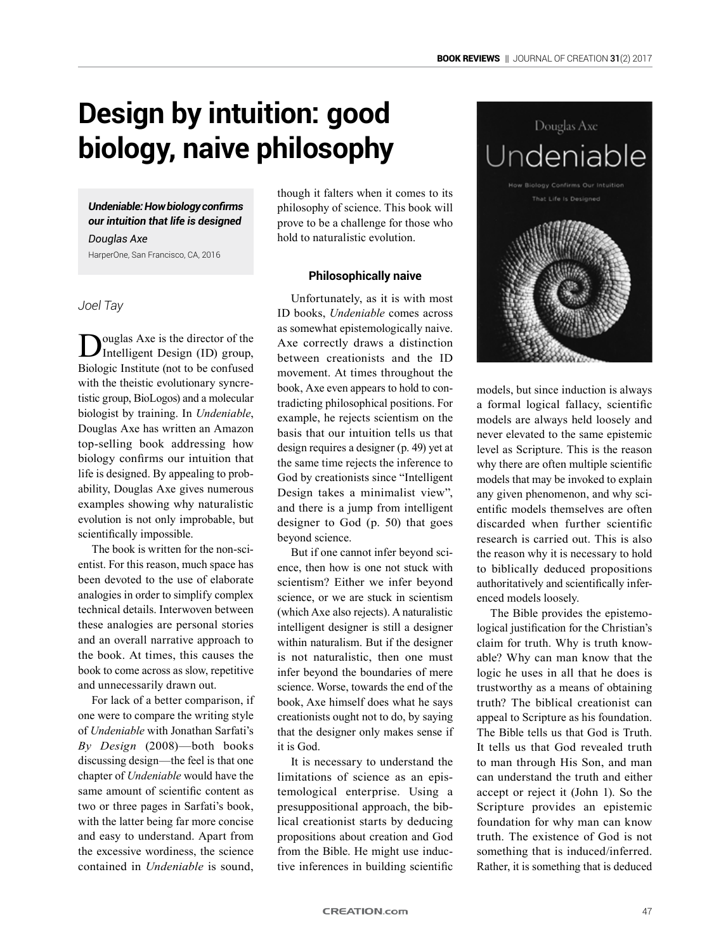# **Design by intuition: good biology, naive philosophy**

*Undeniable: How biology confirms our intuition that life is designed*

*Douglas Axe* HarperOne, San Francisco, CA, 2016

*Joel Tay*

ouglas Axe is the director of the Intelligent Design (ID) group, Biologic Institute (not to be confused with the theistic evolutionary syncretistic group, BioLogos) and a molecular biologist by training. In *Undeniable*, Douglas Axe has written an Amazon top-selling book addressing how biology confirms our intuition that life is designed. By appealing to probability, Douglas Axe gives numerous examples showing why naturalistic evolution is not only improbable, but scientifically impossible.

The book is written for the non-scientist. For this reason, much space has been devoted to the use of elaborate analogies in order to simplify complex technical details. Interwoven between these analogies are personal stories and an overall narrative approach to the book. At times, this causes the book to come across as slow, repetitive and unnecessarily drawn out.

For lack of a better comparison, if one were to compare the writing style of *Undeniable* with Jonathan Sarfati's *By Design* (2008)—both books discussing design—the feel is that one chapter of *Undeniable* would have the same amount of scientific content as two or three pages in Sarfati's book, with the latter being far more concise and easy to understand. Apart from the excessive wordiness, the science contained in *Undeniable* is sound, though it falters when it comes to its philosophy of science. This book will prove to be a challenge for those who hold to naturalistic evolution.

# **Philosophically naive**

Unfortunately, as it is with most ID books, *Undeniable* comes across as somewhat epistemologically naive. Axe correctly draws a distinction between creationists and the ID movement. At times throughout the book, Axe even appears to hold to contradicting philosophical positions. For example, he rejects scientism on the basis that our intuition tells us that design requires a designer (p. 49) yet at the same time rejects the inference to God by creationists since "Intelligent Design takes a minimalist view", and there is a jump from intelligent designer to God (p. 50) that goes beyond science.

But if one cannot infer beyond science, then how is one not stuck with scientism? Either we infer beyond science, or we are stuck in scientism (which Axe also rejects). A naturalistic intelligent designer is still a designer within naturalism. But if the designer is not naturalistic, then one must infer beyond the boundaries of mere science. Worse, towards the end of the book, Axe himself does what he says creationists ought not to do, by saying that the designer only makes sense if it is God.

It is necessary to understand the limitations of science as an epistemological enterprise. Using a presuppositional approach, the biblical creationist starts by deducing propositions about creation and God from the Bible. He might use inductive inferences in building scientific



models, but since induction is always a formal logical fallacy, scientific models are always held loosely and never elevated to the same epistemic level as Scripture. This is the reason why there are often multiple scientific models that may be invoked to explain any given phenomenon, and why scientific models themselves are often discarded when further scientific research is carried out. This is also the reason why it is necessary to hold to biblically deduced propositions authoritatively and scientifically inferenced models loosely.

The Bible provides the epistemological justification for the Christian's claim for truth. Why is truth knowable? Why can man know that the logic he uses in all that he does is trustworthy as a means of obtaining truth? The biblical creationist can appeal to Scripture as his foundation. The Bible tells us that God is Truth. It tells us that God revealed truth to man through His Son, and man can understand the truth and either accept or reject it (John 1). So the Scripture provides an epistemic foundation for why man can know truth. The existence of God is not something that is induced/inferred. Rather, it is something that is deduced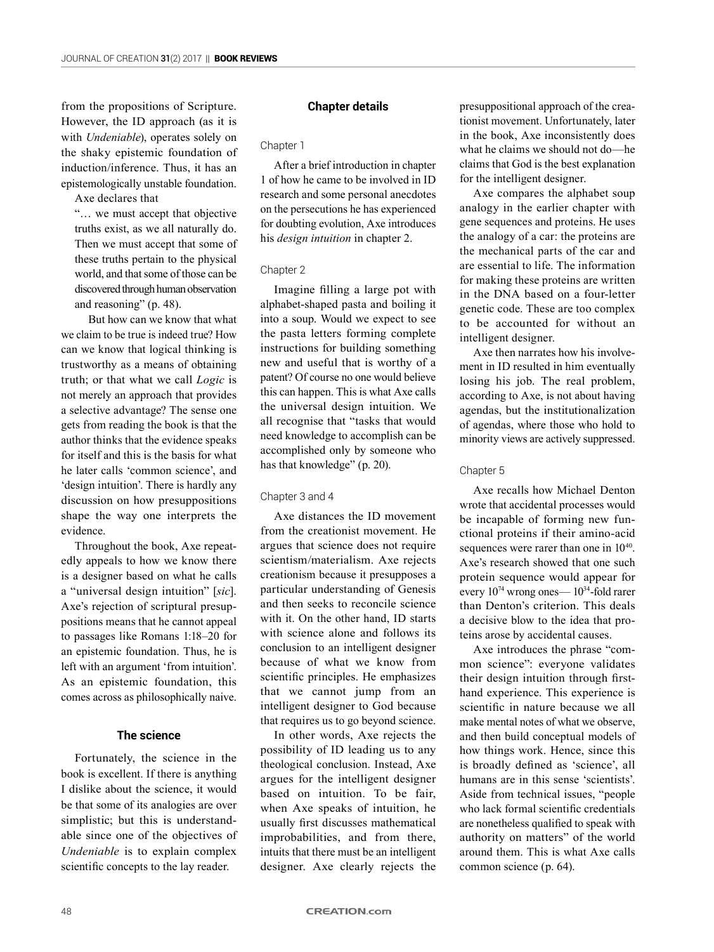from the propositions of Scripture. However, the ID approach (as it is with *Undeniable*), operates solely on the shaky epistemic foundation of induction/inference. Thus, it has an epistemologically unstable foundation.

Axe declares that

"… we must accept that objective truths exist, as we all naturally do. Then we must accept that some of these truths pertain to the physical world, and that some of those can be discovered through human observation and reasoning" (p. 48).

But how can we know that what we claim to be true is indeed true? How can we know that logical thinking is trustworthy as a means of obtaining truth; or that what we call *Logic* is not merely an approach that provides a selective advantage? The sense one gets from reading the book is that the author thinks that the evidence speaks for itself and this is the basis for what he later calls 'common science', and 'design intuition'. There is hardly any discussion on how presuppositions shape the way one interprets the evidence.

Throughout the book, Axe repeatedly appeals to how we know there is a designer based on what he calls a "universal design intuition" [*sic*]. Axe's rejection of scriptural presuppositions means that he cannot appeal to passages like Romans 1:18–20 for an epistemic foundation. Thus, he is left with an argument 'from intuition'. As an epistemic foundation, this comes across as philosophically naive.

# **The science**

Fortunately, the science in the book is excellent. If there is anything I dislike about the science, it would be that some of its analogies are over simplistic; but this is understandable since one of the objectives of *Undeniable* is to explain complex scientific concepts to the lay reader.

# **Chapter details**

Chapter 1

After a brief introduction in chapter 1 of how he came to be involved in ID research and some personal anecdotes on the persecutions he has experienced for doubting evolution, Axe introduces his *design intuition* in chapter 2.

## Chapter 2

Imagine filling a large pot with alphabet-shaped pasta and boiling it into a soup. Would we expect to see the pasta letters forming complete instructions for building something new and useful that is worthy of a patent? Of course no one would believe this can happen. This is what Axe calls the universal design intuition. We all recognise that "tasks that would need knowledge to accomplish can be accomplished only by someone who has that knowledge" (p. 20).

#### Chapter 3 and 4

Axe distances the ID movement from the creationist movement. He argues that science does not require scientism/materialism. Axe rejects creationism because it presupposes a particular understanding of Genesis and then seeks to reconcile science with it. On the other hand, ID starts with science alone and follows its conclusion to an intelligent designer because of what we know from scientific principles. He emphasizes that we cannot jump from an intelligent designer to God because that requires us to go beyond science.

In other words, Axe rejects the possibility of ID leading us to any theological conclusion. Instead, Axe argues for the intelligent designer based on intuition. To be fair, when Axe speaks of intuition, he usually first discusses mathematical improbabilities, and from there, intuits that there must be an intelligent designer. Axe clearly rejects the

presuppositional approach of the creationist movement. Unfortunately, later in the book, Axe inconsistently does what he claims we should not do—he claims that God is the best explanation for the intelligent designer.

Axe compares the alphabet soup analogy in the earlier chapter with gene sequences and proteins. He uses the analogy of a car: the proteins are the mechanical parts of the car and are essential to life. The information for making these proteins are written in the DNA based on a four-letter genetic code. These are too complex to be accounted for without an intelligent designer.

Axe then narrates how his involvement in ID resulted in him eventually losing his job. The real problem, according to Axe, is not about having agendas, but the institutionalization of agendas, where those who hold to minority views are actively suppressed.

#### Chapter 5

Axe recalls how Michael Denton wrote that accidental processes would be incapable of forming new functional proteins if their amino-acid sequences were rarer than one in  $10^{40}$ . Axe's research showed that one such protein sequence would appear for every 1074 wrong ones— 1034-fold rarer than Denton's criterion. This deals a decisive blow to the idea that proteins arose by accidental causes.

Axe introduces the phrase "common science": everyone validates their design intuition through firsthand experience. This experience is scientific in nature because we all make mental notes of what we observe, and then build conceptual models of how things work. Hence, since this is broadly defined as 'science', all humans are in this sense 'scientists'. Aside from technical issues, "people who lack formal scientific credentials are nonetheless qualified to speak with authority on matters" of the world around them. This is what Axe calls common science (p. 64).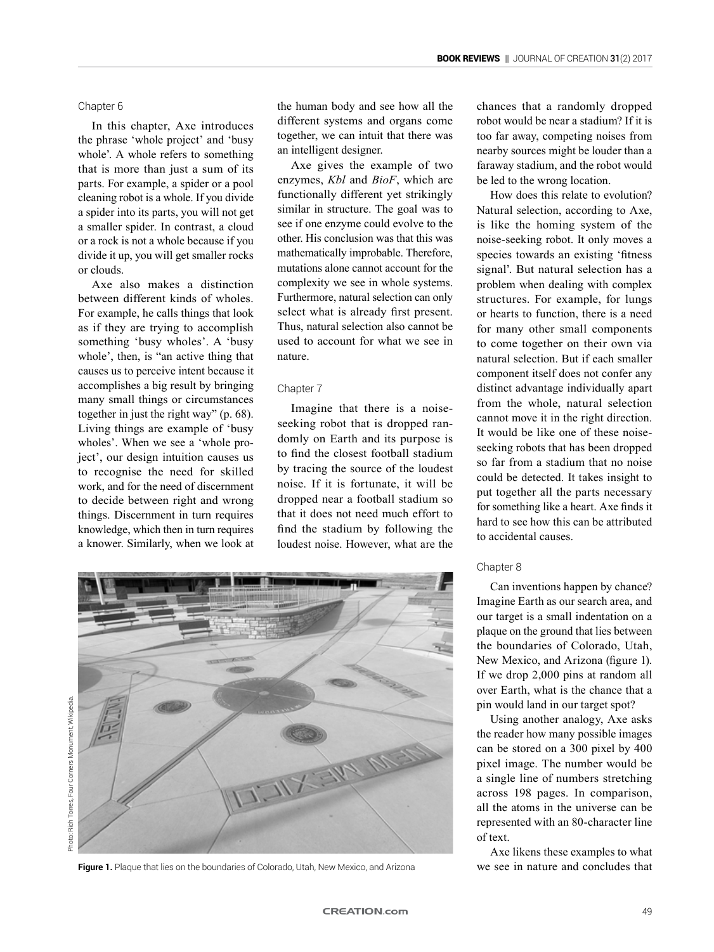## Chapter 6

In this chapter, Axe introduces the phrase 'whole project' and 'busy whole'. A whole refers to something that is more than just a sum of its parts. For example, a spider or a pool cleaning robot is a whole. If you divide a spider into its parts, you will not get a smaller spider. In contrast, a cloud or a rock is not a whole because if you divide it up, you will get smaller rocks or clouds.

Axe also makes a distinction between different kinds of wholes. For example, he calls things that look as if they are trying to accomplish something 'busy wholes'. A 'busy whole', then, is "an active thing that causes us to perceive intent because it accomplishes a big result by bringing many small things or circumstances together in just the right way" (p. 68). Living things are example of 'busy wholes'. When we see a 'whole project', our design intuition causes us to recognise the need for skilled work, and for the need of discernment to decide between right and wrong things. Discernment in turn requires knowledge, which then in turn requires a knower. Similarly, when we look at the human body and see how all the different systems and organs come together, we can intuit that there was an intelligent designer.

Axe gives the example of two enzymes, *Kbl* and *BioF*, which are functionally different yet strikingly similar in structure. The goal was to see if one enzyme could evolve to the other. His conclusion was that this was mathematically improbable. Therefore, mutations alone cannot account for the complexity we see in whole systems. Furthermore, natural selection can only select what is already first present. Thus, natural selection also cannot be used to account for what we see in nature.

#### Chapter 7

Imagine that there is a noiseseeking robot that is dropped randomly on Earth and its purpose is to find the closest football stadium by tracing the source of the loudest noise. If it is fortunate, it will be dropped near a football stadium so that it does not need much effort to find the stadium by following the loudest noise. However, what are the chances that a randomly dropped robot would be near a stadium? If it is too far away, competing noises from nearby sources might be louder than a faraway stadium, and the robot would be led to the wrong location.

How does this relate to evolution? Natural selection, according to Axe, is like the homing system of the noise-seeking robot. It only moves a species towards an existing 'fitness signal'. But natural selection has a problem when dealing with complex structures. For example, for lungs or hearts to function, there is a need for many other small components to come together on their own via natural selection. But if each smaller component itself does not confer any distinct advantage individually apart from the whole, natural selection cannot move it in the right direction. It would be like one of these noiseseeking robots that has been dropped so far from a stadium that no noise could be detected. It takes insight to put together all the parts necessary for something like a heart. Axe finds it hard to see how this can be attributed to accidental causes.

## Chapter 8

Can inventions happen by chance? Imagine Earth as our search area, and our target is a small indentation on a plaque on the ground that lies between the boundaries of Colorado, Utah, New Mexico, and Arizona (figure 1). If we drop 2,000 pins at random all over Earth, what is the chance that a pin would land in our target spot?

Using another analogy, Axe asks the reader how many possible images can be stored on a 300 pixel by 400 pixel image. The number would be a single line of numbers stretching across 198 pages. In comparison, all the atoms in the universe can be represented with an 80-character line of text.

Axe likens these examples to what **Figure 1.** Plaque that lies on the boundaries of Colorado, Utah, New Mexico, and Arizona we see in nature and concludes that



Photo: Rich Torres, Four Corners Monument, Wikipedia. Photo: Rich Torres, Four Corners Monument, Wikipedia.